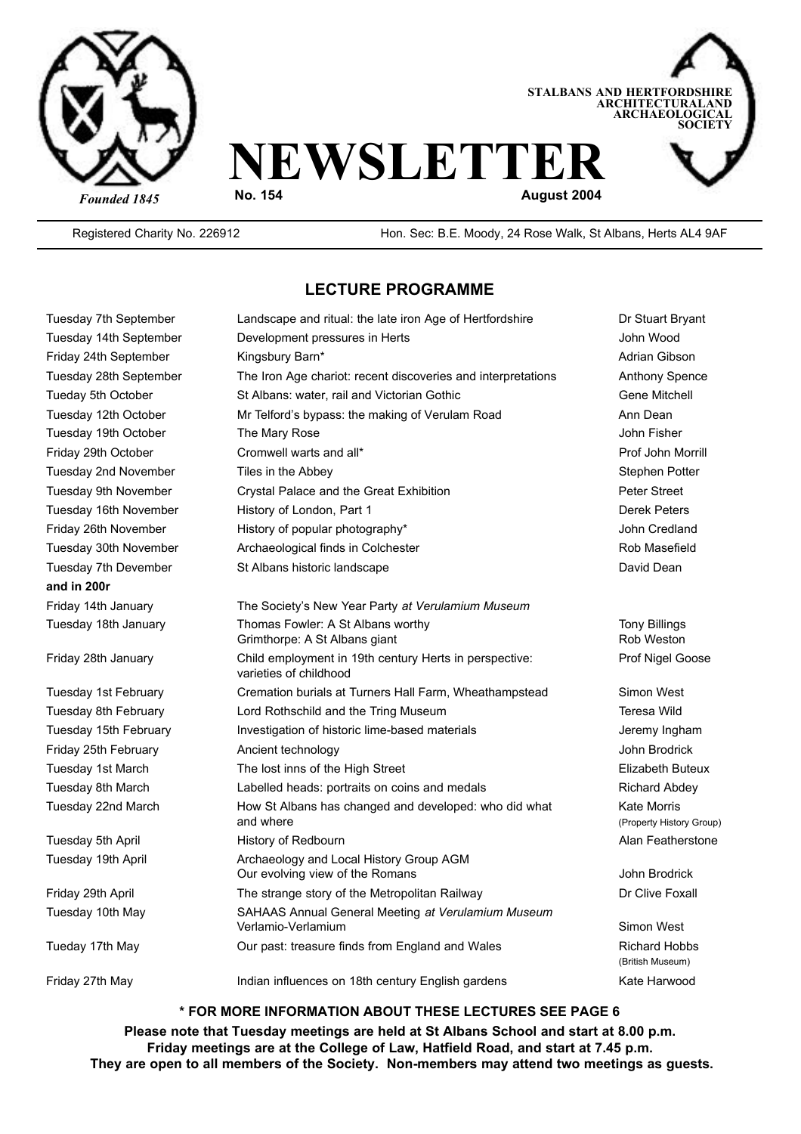



Registered Charity No. 226912 Hon. Sec: B.E. Moody, 24 Rose Walk, St Albans, Herts AL4 9AF

#### **LECTURE PROGRAMME**

| Tuesday 7th September                    | Landscape and ritual: the late iron Age of Hertfordshire                         | Dr Stuart Bryant                               |
|------------------------------------------|----------------------------------------------------------------------------------|------------------------------------------------|
| Tuesday 14th September                   | John Wood<br>Development pressures in Herts                                      |                                                |
| Friday 24th September<br>Kingsbury Barn* |                                                                                  | Adrian Gibson                                  |
| Tuesday 28th September                   | The Iron Age chariot: recent discoveries and interpretations                     | <b>Anthony Spence</b>                          |
| Tueday 5th October                       | St Albans: water, rail and Victorian Gothic                                      | Gene Mitchell                                  |
| Tuesday 12th October                     | Mr Telford's bypass: the making of Verulam Road                                  | Ann Dean                                       |
| Tuesday 19th October                     | The Mary Rose                                                                    | John Fisher                                    |
| Friday 29th October                      | Cromwell warts and all*<br>Prof John Morrill                                     |                                                |
| Tuesday 2nd November                     | Tiles in the Abbey<br>Stephen Potter                                             |                                                |
| Tuesday 9th November                     | Crystal Palace and the Great Exhibition                                          | <b>Peter Street</b>                            |
| Tuesday 16th November                    | History of London, Part 1                                                        | <b>Derek Peters</b>                            |
| Friday 26th November                     | History of popular photography*                                                  | John Credland                                  |
| Tuesday 30th November                    | Archaeological finds in Colchester                                               | Rob Masefield                                  |
| Tuesday 7th Devember                     | St Albans historic landscape                                                     | David Dean                                     |
| and in 200r                              |                                                                                  |                                                |
| Friday 14th January                      | The Society's New Year Party at Verulamium Museum                                |                                                |
| Tuesday 18th January                     | Thomas Fowler: A St Albans worthy<br>Grimthorpe: A St Albans giant               | <b>Tony Billings</b><br>Rob Weston             |
| Friday 28th January                      | Child employment in 19th century Herts in perspective:<br>varieties of childhood | Prof Nigel Goose                               |
| Tuesday 1st February                     | Cremation burials at Turners Hall Farm, Wheathampstead                           | Simon West                                     |
| Tuesday 8th February                     | Lord Rothschild and the Tring Museum                                             | Teresa Wild                                    |
| Tuesday 15th February                    | Investigation of historic lime-based materials                                   | Jeremy Ingham                                  |
| Friday 25th February                     | Ancient technology                                                               | John Brodrick                                  |
| Tuesday 1st March                        | The lost inns of the High Street                                                 | Elizabeth Buteux                               |
| Tuesday 8th March                        | Labelled heads: portraits on coins and medals                                    | <b>Richard Abdev</b>                           |
| Tuesday 22nd March                       | How St Albans has changed and developed: who did what<br>and where               | <b>Kate Morris</b><br>(Property History Group) |
| Tuesday 5th April                        | History of Redbourn                                                              | Alan Featherstone                              |
| Tuesday 19th April                       | Archaeology and Local History Group AGM<br>Our evolving view of the Romans       | John Brodrick                                  |
| Friday 29th April                        | The strange story of the Metropolitan Railway                                    | Dr Clive Foxall                                |
| Tuesday 10th May                         | SAHAAS Annual General Meeting at Verulamium Museum<br>Verlamio-Verlamium         | Simon West                                     |
| Tueday 17th May                          | Our past: treasure finds from England and Wales                                  | <b>Richard Hobbs</b><br>(British Museum)       |
| Friday 27th May                          | Indian influences on 18th century English gardens                                | Kate Harwood                                   |

**\* FOR MORE INFORMATION ABOUT THESE LECTURES SEE PAGE 6**

**Please note that Tuesday meetings are held at St Albans School and start at 8.00 p.m. Friday meetings are at the College of Law, Hatfield Road, and start at 7.45 p.m. They are open to all members of the Society. Non-members may attend two meetings as guests.**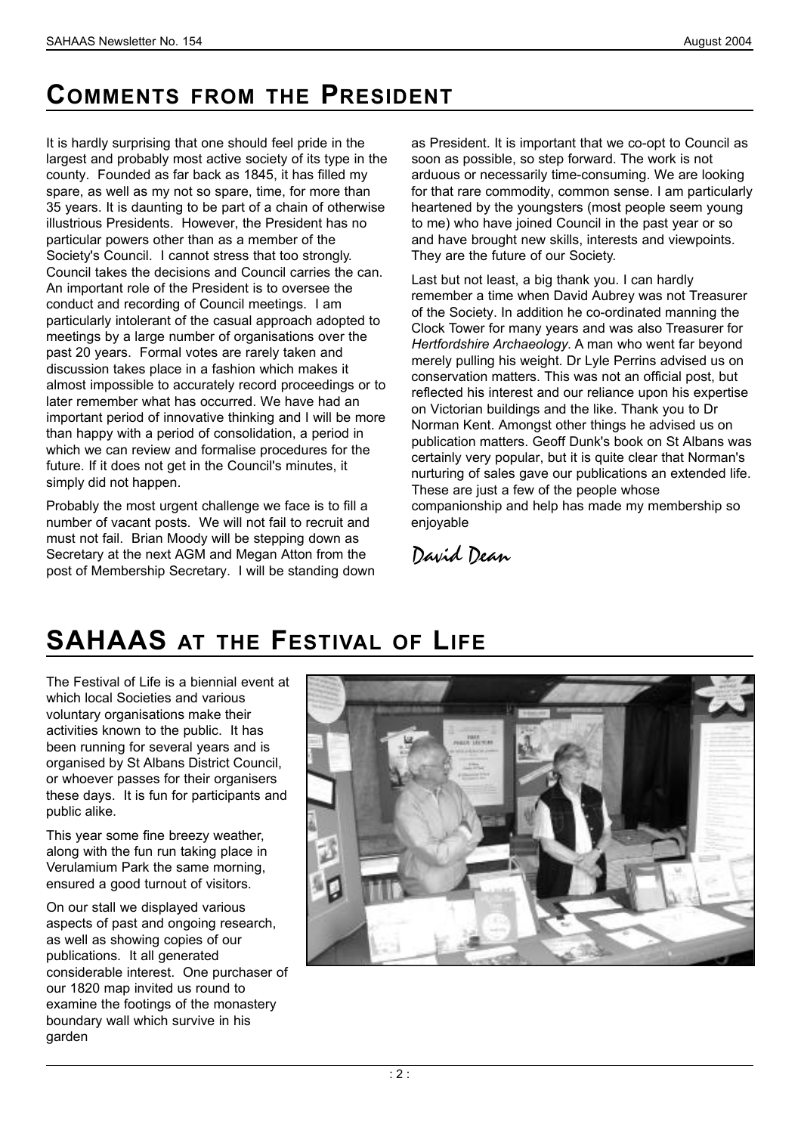### **COMMENTS FROM THE PRESIDENT**

It is hardly surprising that one should feel pride in the largest and probably most active society of its type in the county. Founded as far back as 1845, it has filled my spare, as well as my not so spare, time, for more than 35 years. It is daunting to be part of a chain of otherwise illustrious Presidents. However, the President has no particular powers other than as a member of the Society's Council. I cannot stress that too strongly. Council takes the decisions and Council carries the can. An important role of the President is to oversee the conduct and recording of Council meetings. I am particularly intolerant of the casual approach adopted to meetings by a large number of organisations over the past 20 years. Formal votes are rarely taken and discussion takes place in a fashion which makes it almost impossible to accurately record proceedings or to later remember what has occurred. We have had an important period of innovative thinking and I will be more than happy with a period of consolidation, a period in which we can review and formalise procedures for the future. If it does not get in the Council's minutes, it simply did not happen.

Probably the most urgent challenge we face is to fill a number of vacant posts. We will not fail to recruit and must not fail. Brian Moody will be stepping down as Secretary at the next AGM and Megan Atton from the post of Membership Secretary. I will be standing down as President. It is important that we co-opt to Council as soon as possible, so step forward. The work is not arduous or necessarily time-consuming. We are looking for that rare commodity, common sense. I am particularly heartened by the youngsters (most people seem young to me) who have joined Council in the past year or so and have brought new skills, interests and viewpoints. They are the future of our Society.

Last but not least, a big thank you. I can hardly remember a time when David Aubrey was not Treasurer of the Society. In addition he co-ordinated manning the Clock Tower for many years and was also Treasurer for *Hertfordshire Archaeology*. A man who went far beyond merely pulling his weight. Dr Lyle Perrins advised us on conservation matters. This was not an official post, but reflected his interest and our reliance upon his expertise on Victorian buildings and the like. Thank you to Dr Norman Kent. Amongst other things he advised us on publication matters. Geoff Dunk's book on St Albans was certainly very popular, but it is quite clear that Norman's nurturing of sales gave our publications an extended life. These are just a few of the people whose companionship and help has made my membership so enjoyable

*David Dean*

# **SAHAAS** AT THE FESTIVAL OF LIFE

The Festival of Life is a biennial event at which local Societies and various voluntary organisations make their activities known to the public. It has been running for several years and is organised by St Albans District Council, or whoever passes for their organisers these days. It is fun for participants and public alike.

This year some fine breezy weather, along with the fun run taking place in Verulamium Park the same morning, ensured a good turnout of visitors.

On our stall we displayed various aspects of past and ongoing research, as well as showing copies of our publications. It all generated considerable interest. One purchaser of our 1820 map invited us round to examine the footings of the monastery boundary wall which survive in his garden

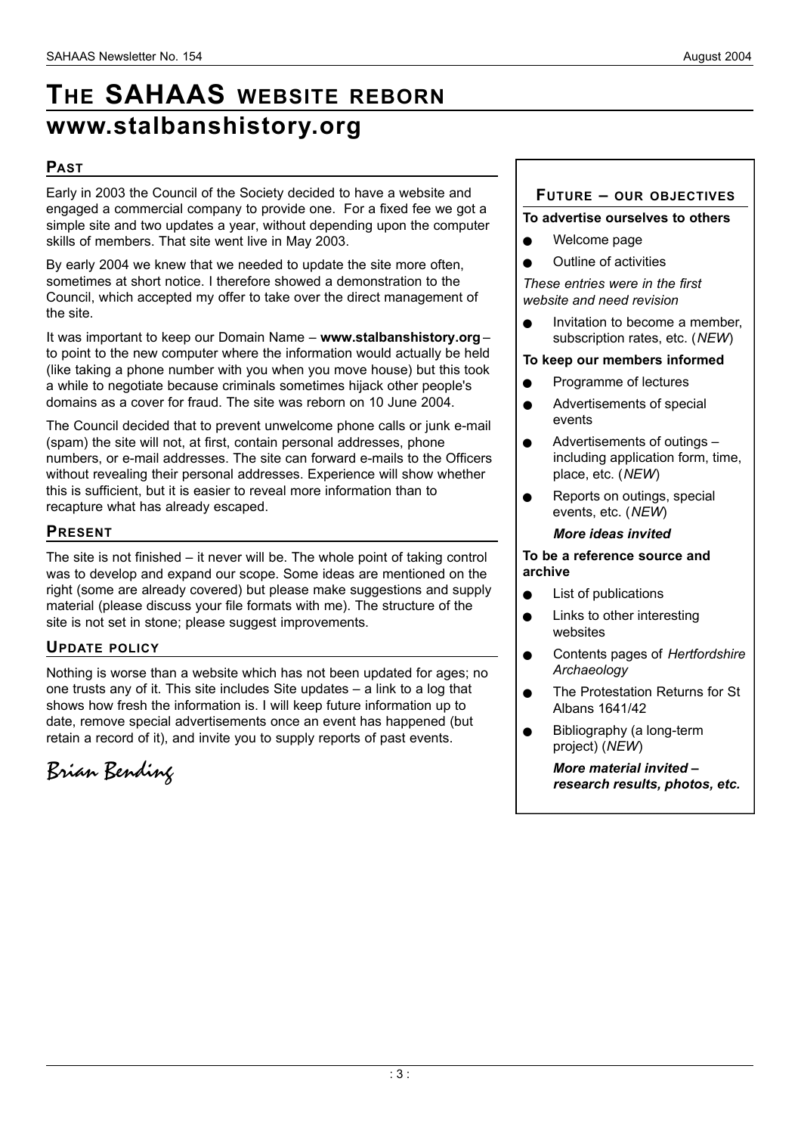## **THE SAHAAS WEBSITE REBORN** www.stalbanshistory.org

#### **PA S T**

Early in 2003 the Council of the Society decided to have a website and engaged a commercial company to provide one. For a fixed fee we got a simple site and two updates a year, without depending upon the computer skills of members. That site went live in May 2003.

By early 2004 we knew that we needed to update the site more often, sometimes at short notice. I therefore showed a demonstration to the Council, which accepted my offer to take over the direct management of the site.

It was important to keep our Domain Name – **www.stalbanshistory.org** – to point to the new computer where the information would actually be held (like taking a phone number with you when you move house) but this took a while to negotiate because criminals sometimes hijack other people's domains as a cover for fraud. The site was reborn on 10 June 2004.

The Council decided that to prevent unwelcome phone calls or junk e-mail (spam) the site will not, at first, contain personal addresses, phone numbers, or e-mail addresses. The site can forward e-mails to the Officers without revealing their personal addresses. Experience will show whether this is sufficient, but it is easier to reveal more information than to recapture what has already escaped.

#### **PRESENT**

The site is not finished – it never will be. The whole point of taking control was to develop and expand our scope. Some ideas are mentioned on the right (some are already covered) but please make suggestions and supply material (please discuss your file formats with me). The structure of the site is not set in stone; please suggest improvements.

#### **UPDATE POLICY**

Nothing is worse than a website which has not been updated for ages; no one trusts any of it. This site includes Site updates – a link to a log that shows how fresh the information is. I will keep future information up to date, remove special advertisements once an event has happened (but retain a record of it), and invite you to supply reports of past events.

*Brian Bending*

#### **FUTURE - OUR OBJECTIVES**

#### **To advertise ourselves to others**

- Welcome page
- **Outline of activities**

*These entries were in the first website and need revision*

Invitation to become a member. subscription rates, etc. (*NEW*)

#### **To keep our members informed**

- **e** Programme of lectures
- **Advertisements of special** events
- Advertisements of outings including application form, time, place, etc. (*NEW*)
- Reports on outings, special events, etc. (*NEW*)

#### *More ideas invited*

#### **To be a reference source and archive**

- $\bullet$  List of publications
- $\bullet$  Links to other interesting websites
- **e** Contents pages of *Hertfordshire Archaeology*
- The Protestation Returns for St Albans 1641/42
- Bibliography (a long-term project) (*NEW*)

*More material invited – research results, photos, etc.*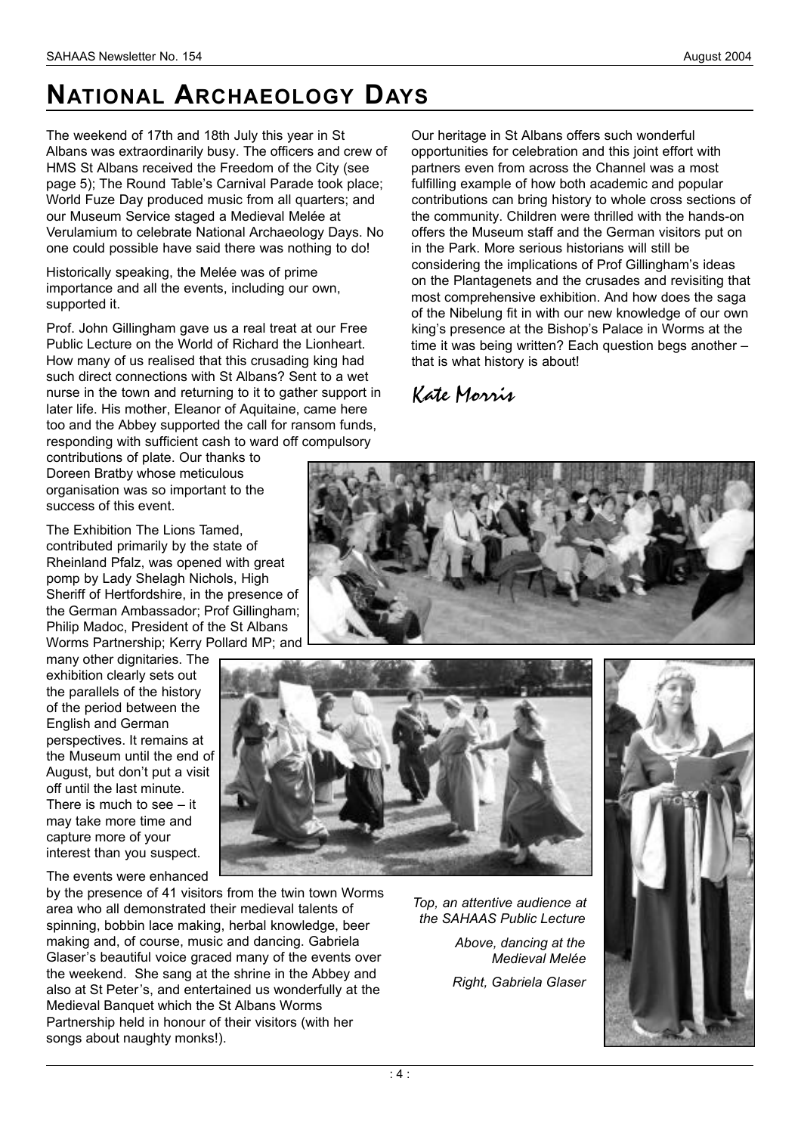## **NATIONAL ARCHAEOLOGY DAYS**

The weekend of 17th and 18th July this year in St Albans was extraordinarily busy. The officers and crew of HMS St Albans received the Freedom of the City (see page 5); The Round Table's Carnival Parade took place; World Fuze Day produced music from all quarters; and our Museum Service staged a Medieval Melée at Verulamium to celebrate National Archaeology Days. No one could possible have said there was nothing to do!

Historically speaking, the Melée was of prime importance and all the events, including our own, supported it.

Prof. John Gillingham gave us a real treat at our Free Public Lecture on the World of Richard the Lionheart. How many of us realised that this crusading king had such direct connections with St Albans? Sent to a wet nurse in the town and returning to it to gather support in later life. His mother, Eleanor of Aquitaine, came here too and the Abbey supported the call for ransom funds, responding with sufficient cash to ward off compulsory

contributions of plate. Our thanks to Doreen Bratby whose meticulous organisation was so important to the success of this event.

The Exhibition The Lions Tamed, contributed primarily by the state of Rheinland Pfalz, was opened with great pomp by Lady Shelagh Nichols, High Sheriff of Hertfordshire, in the presence of the German Ambassador; Prof Gillingham; Philip Madoc, President of the St Albans Worms Partnership; Kerry Pollard MP; and

many other dignitaries. The exhibition clearly sets out the parallels of the history of the period between the English and German perspectives. It remains at the Museum until the end of August, but don't put a visit off until the last minute. There is much to see – it may take more time and capture more of your interest than you suspect.

The events were enhanced

by the presence of 41 visitors from the twin town Worms area who all demonstrated their medieval talents of spinning, bobbin lace making, herbal knowledge, beer making and, of course, music and dancing. Gabriela Glaser's beautiful voice graced many of the events over the weekend. She sang at the shrine in the Abbey and also at St Peter's, and entertained us wonderfully at the Medieval Banquet which the St Albans Worms Partnership held in honour of their visitors (with her songs about naughty monks!).

*Top, an attentive audience at the SAHAAS Public Lecture*

> *Above, dancing at the Medieval Melée*

*Right, Gabriela Glaser*



opportunities for celebration and this joint effort with partners even from across the Channel was a most fulfilling example of how both academic and popular contributions can bring history to whole cross sections of the community. Children were thrilled with the hands-on offers the Museum staff and the German visitors put on in the Park. More serious historians will still be considering the implications of Prof Gillingham's ideas on the Plantagenets and the crusades and revisiting that most comprehensive exhibition. And how does the saga of the Nibelung fit in with our new knowledge of our own king's presence at the Bishop's Palace in Worms at the time it was being written? Each question begs another – that is what history is about!

Our heritage in St Albans offers such wonderful

#### *Kate Morris*



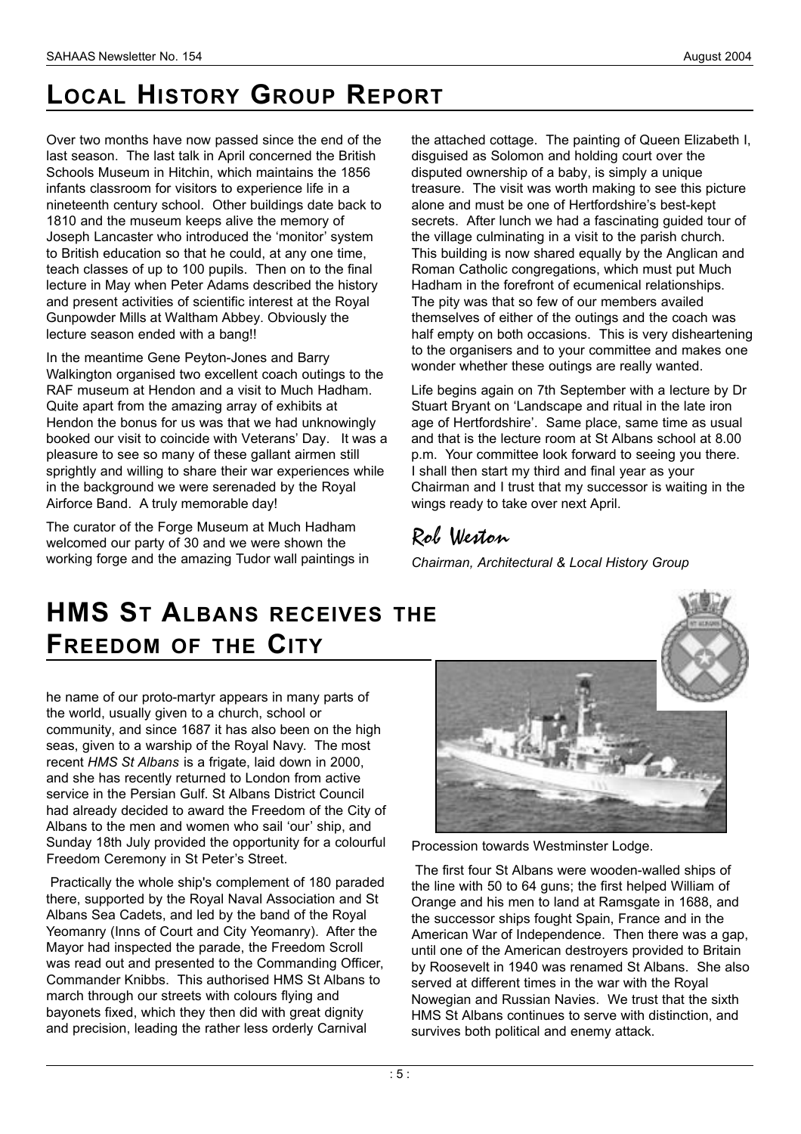## **LOCAL HISTORY GROUP REPORT**

Over two months have now passed since the end of the last season. The last talk in April concerned the British Schools Museum in Hitchin, which maintains the 1856 infants classroom for visitors to experience life in a nineteenth century school. Other buildings date back to 1810 and the museum keeps alive the memory of Joseph Lancaster who introduced the 'monitor' system to British education so that he could, at any one time, teach classes of up to 100 pupils. Then on to the final lecture in May when Peter Adams described the history and present activities of scientific interest at the Royal Gunpowder Mills at Waltham Abbey. Obviously the lecture season ended with a bang!!

In the meantime Gene Peyton-Jones and Barry Walkington organised two excellent coach outings to the RAF museum at Hendon and a visit to Much Hadham. Quite apart from the amazing array of exhibits at Hendon the bonus for us was that we had unknowingly booked our visit to coincide with Veterans' Day. It was a pleasure to see so many of these gallant airmen still sprightly and willing to share their war experiences while in the background we were serenaded by the Royal Airforce Band. A truly memorable day!

The curator of the Forge Museum at Much Hadham welcomed our party of 30 and we were shown the working forge and the amazing Tudor wall paintings in the attached cottage. The painting of Queen Elizabeth I, disguised as Solomon and holding court over the disputed ownership of a baby, is simply a unique treasure. The visit was worth making to see this picture alone and must be one of Hertfordshire's best-kept secrets. After lunch we had a fascinating guided tour of the village culminating in a visit to the parish church. This building is now shared equally by the Anglican and Roman Catholic congregations, which must put Much Hadham in the forefront of ecumenical relationships. The pity was that so few of our members availed themselves of either of the outings and the coach was half empty on both occasions. This is very disheartening to the organisers and to your committee and makes one wonder whether these outings are really wanted.

Life begins again on 7th September with a lecture by Dr Stuart Bryant on 'Landscape and ritual in the late iron age of Hertfordshire'. Same place, same time as usual and that is the lecture room at St Albans school at 8.00 p.m. Your committee look forward to seeing you there. I shall then start my third and final year as your Chairman and I trust that my successor is waiting in the wings ready to take over next April.

### *Rob Weston*

*Chairman, Architectural & Local History Group* 

## **HMS ST ALBANS RECEIVES THE FREEDOM OF THE CITY**

he name of our proto-martyr appears in many parts of the world, usually given to a church, school or community, and since 1687 it has also been on the high seas, given to a warship of the Royal Navy. The most recent *HMS St Albans* is a frigate, laid down in 2000, and she has recently returned to London from active service in the Persian Gulf. St Albans District Council had already decided to award the Freedom of the City of Albans to the men and women who sail 'our' ship, and Sunday 18th July provided the opportunity for a colourful Freedom Ceremony in St Peter's Street.

Practically the whole ship's complement of 180 paraded there, supported by the Royal Naval Association and St Albans Sea Cadets, and led by the band of the Royal Yeomanry (Inns of Court and City Yeomanry). After the Mayor had inspected the parade, the Freedom Scroll was read out and presented to the Commanding Officer, Commander Knibbs. This authorised HMS St Albans to march through our streets with colours flying and bayonets fixed, which they then did with great dignity and precision, leading the rather less orderly Carnival



Procession towards Westminster Lodge.

The first four St Albans were wooden-walled ships of the line with 50 to 64 guns; the first helped William of Orange and his men to land at Ramsgate in 1688, and the successor ships fought Spain, France and in the American War of Independence. Then there was a gap, until one of the American destroyers provided to Britain by Roosevelt in 1940 was renamed St Albans. She also served at different times in the war with the Royal Nowegian and Russian Navies. We trust that the sixth HMS St Albans continues to serve with distinction, and survives both political and enemy attack.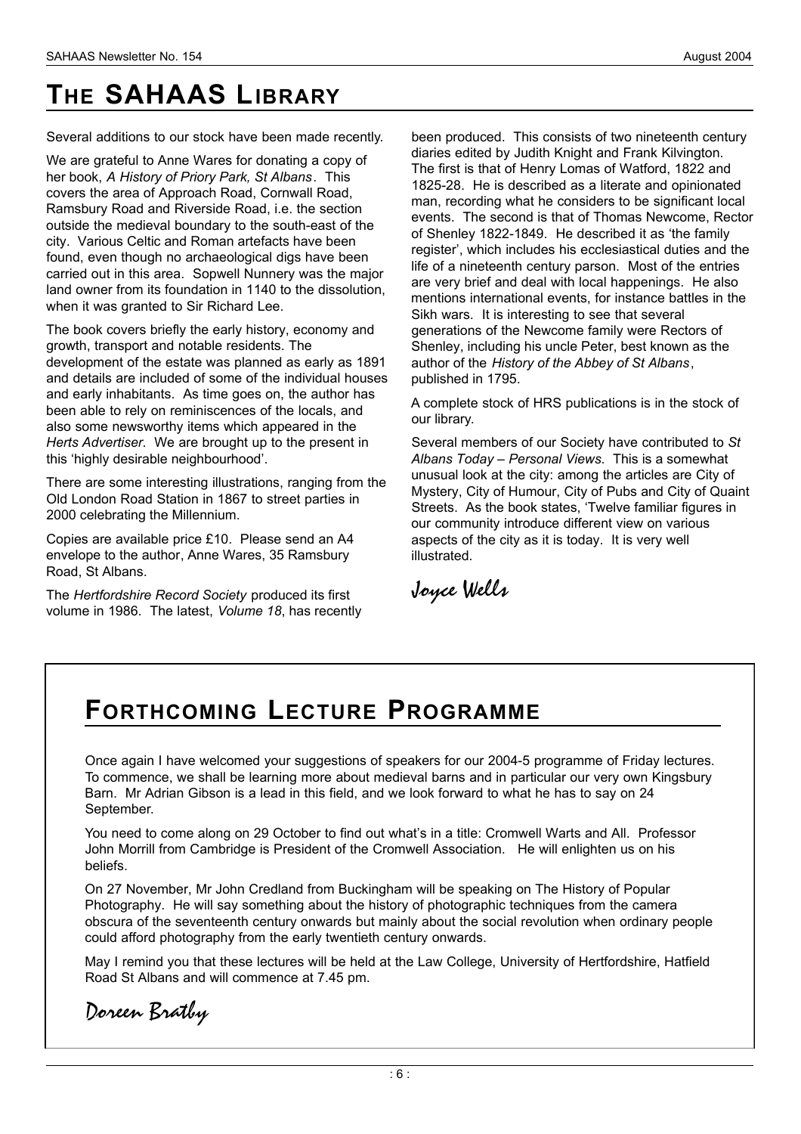## **THE SAHAAS LIBRARY**

Several additions to our stock have been made recently.

We are grateful to Anne Wares for donating a copy of her book, *A History of Priory Park, St Albans*. This covers the area of Approach Road, Cornwall Road, Ramsbury Road and Riverside Road, i.e. the section outside the medieval boundary to the south-east of the city. Various Celtic and Roman artefacts have been found, even though no archaeological digs have been carried out in this area. Sopwell Nunnery was the major land owner from its foundation in 1140 to the dissolution, when it was granted to Sir Richard Lee.

The book covers briefly the early history, economy and growth, transport and notable residents. The development of the estate was planned as early as 1891 and details are included of some of the individual houses and early inhabitants. As time goes on, the author has been able to rely on reminiscences of the locals, and also some newsworthy items which appeared in the *Herts Advertiser*. We are brought up to the present in this 'highly desirable neighbourhood'.

There are some interesting illustrations, ranging from the Old London Road Station in 1867 to street parties in 2000 celebrating the Millennium.

Copies are available price £10. Please send an A4 envelope to the author, Anne Wares, 35 Ramsbury Road, St Albans.

The *Hertfordshire Record Society* produced its first volume in 1986. The latest, *Volume 18*, has recently been produced. This consists of two nineteenth century diaries edited by Judith Knight and Frank Kilvington. The first is that of Henry Lomas of Watford, 1822 and 1825-28. He is described as a literate and opinionated man, recording what he considers to be significant local events. The second is that of Thomas Newcome, Rector of Shenley 1822-1849. He described it as 'the family register', which includes his ecclesiastical duties and the life of a nineteenth century parson. Most of the entries are very brief and deal with local happenings. He also mentions international events, for instance battles in the Sikh wars. It is interesting to see that several generations of the Newcome family were Rectors of Shenley, including his uncle Peter, best known as the author of the *History of the Abbey of St Albans*, published in 1795.

A complete stock of HRS publications is in the stock of our library.

Several members of our Society have contributed to *St Albans Today – Personal Views*. This is a somewhat unusual look at the city: among the articles are City of Mystery, City of Humour, City of Pubs and City of Quaint Streets. As the book states, 'Twelve familiar figures in our community introduce different view on various aspects of the city as it is today. It is very well illustrated.

*Joyce Wells*

### **FO R T H C O M I N G LE C T U R E PR O G R A M M E**

Once again I have welcomed your suggestions of speakers for our 2004-5 programme of Friday lectures. To commence, we shall be learning more about medieval barns and in particular our very own Kingsbury Barn. Mr Adrian Gibson is a lead in this field, and we look forward to what he has to say on 24 September.

You need to come along on 29 October to find out what's in a title: Cromwell Warts and All. Professor John Morrill from Cambridge is President of the Cromwell Association. He will enlighten us on his beliefs.

On 27 November, Mr John Credland from Buckingham will be speaking on The History of Popular Photography. He will say something about the history of photographic techniques from the camera obscura of the seventeenth century onwards but mainly about the social revolution when ordinary people could afford photography from the early twentieth century onwards.

May I remind you that these lectures will be held at the Law College, University of Hertfordshire, Hatfield Road St Albans and will commence at 7.45 pm.

*Doreen Bratby*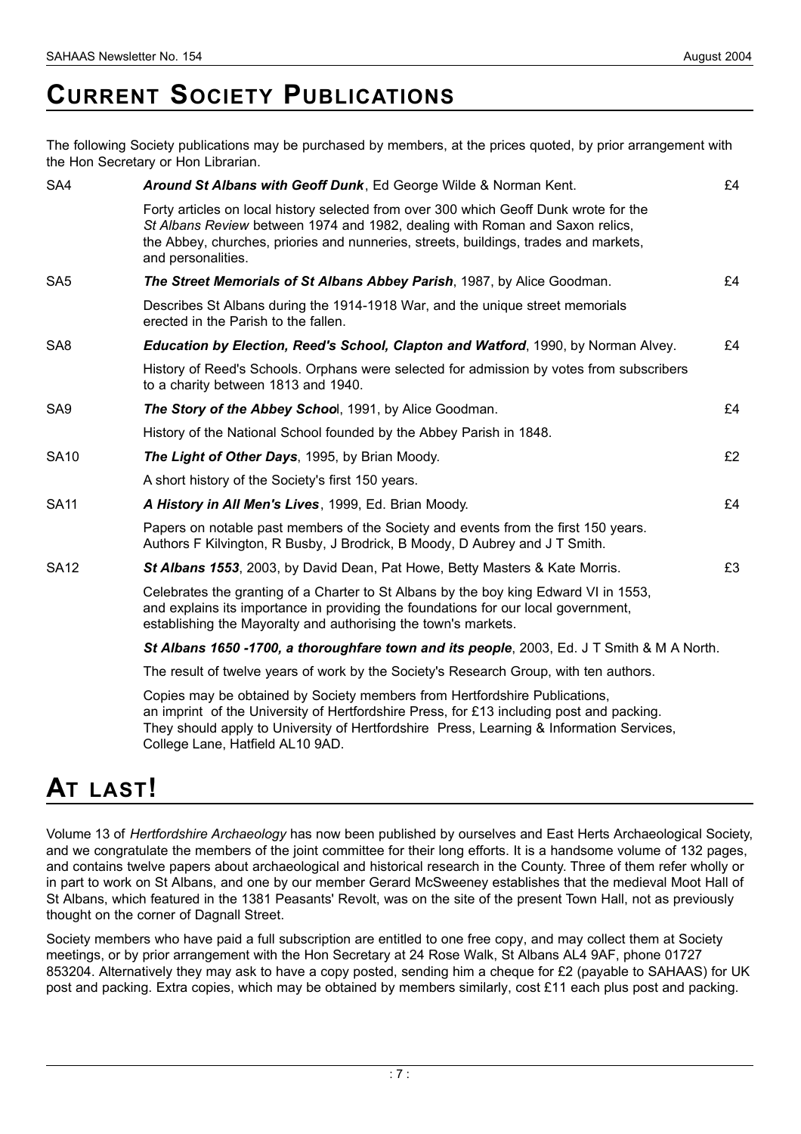### **CURRENT SOCIETY PUBLICATIONS**

The following Society publications may be purchased by members, at the prices quoted, by prior arrangement with the Hon Secretary or Hon Librarian.

| SA4             | Around St Albans with Geoff Dunk, Ed George Wilde & Norman Kent.                                                                                                                                                                                                                    | £4 |
|-----------------|-------------------------------------------------------------------------------------------------------------------------------------------------------------------------------------------------------------------------------------------------------------------------------------|----|
|                 | Forty articles on local history selected from over 300 which Geoff Dunk wrote for the<br>St Albans Review between 1974 and 1982, dealing with Roman and Saxon relics,<br>the Abbey, churches, priories and nunneries, streets, buildings, trades and markets,<br>and personalities. |    |
| SA <sub>5</sub> | The Street Memorials of St Albans Abbey Parish, 1987, by Alice Goodman.                                                                                                                                                                                                             | £4 |
|                 | Describes St Albans during the 1914-1918 War, and the unique street memorials<br>erected in the Parish to the fallen.                                                                                                                                                               |    |
| SA <sub>8</sub> | <b>Education by Election, Reed's School, Clapton and Watford</b> , 1990, by Norman Alvey.                                                                                                                                                                                           | £4 |
|                 | History of Reed's Schools. Orphans were selected for admission by votes from subscribers<br>to a charity between 1813 and 1940.                                                                                                                                                     |    |
| SA <sub>9</sub> | The Story of the Abbey School, 1991, by Alice Goodman.                                                                                                                                                                                                                              | £4 |
|                 | History of the National School founded by the Abbey Parish in 1848.                                                                                                                                                                                                                 |    |
| <b>SA10</b>     | The Light of Other Days, 1995, by Brian Moody.                                                                                                                                                                                                                                      | £2 |
|                 | A short history of the Society's first 150 years.                                                                                                                                                                                                                                   |    |
| <b>SA11</b>     | A History in All Men's Lives, 1999, Ed. Brian Moody.                                                                                                                                                                                                                                | £4 |
|                 | Papers on notable past members of the Society and events from the first 150 years.<br>Authors F Kilvington, R Busby, J Brodrick, B Moody, D Aubrey and J T Smith.                                                                                                                   |    |
| <b>SA12</b>     | St Albans 1553, 2003, by David Dean, Pat Howe, Betty Masters & Kate Morris.                                                                                                                                                                                                         | £3 |
|                 | Celebrates the granting of a Charter to St Albans by the boy king Edward VI in 1553,<br>and explains its importance in providing the foundations for our local government,<br>establishing the Mayoralty and authorising the town's markets.                                        |    |
|                 | St Albans 1650 -1700, a thoroughfare town and its people, 2003, Ed. J T Smith & M A North.                                                                                                                                                                                          |    |
|                 | The result of twelve years of work by the Society's Research Group, with ten authors.                                                                                                                                                                                               |    |

Copies may be obtained by Society members from Hertfordshire Publications, an imprint of the University of Hertfordshire Press, for £13 including post and packing. They should apply to University of Hertfordshire Press, Learning & Information Services, College Lane, Hatfield AL10 9AD.

### **AT** LAST!

Volume 13 of *Hertfordshire Archaeology* has now been published by ourselves and East Herts Archaeological Society, and we congratulate the members of the joint committee for their long efforts. It is a handsome volume of 132 pages, and contains twelve papers about archaeological and historical research in the County. Three of them refer wholly or in part to work on St Albans, and one by our member Gerard McSweeney establishes that the medieval Moot Hall of St Albans, which featured in the 1381 Peasants' Revolt, was on the site of the present Town Hall, not as previously thought on the corner of Dagnall Street.

Society members who have paid a full subscription are entitled to one free copy, and may collect them at Society meetings, or by prior arrangement with the Hon Secretary at 24 Rose Walk, St Albans AL4 9AF, phone 01727 853204. Alternatively they may ask to have a copy posted, sending him a cheque for £2 (payable to SAHAAS) for UK post and packing. Extra copies, which may be obtained by members similarly, cost £11 each plus post and packing.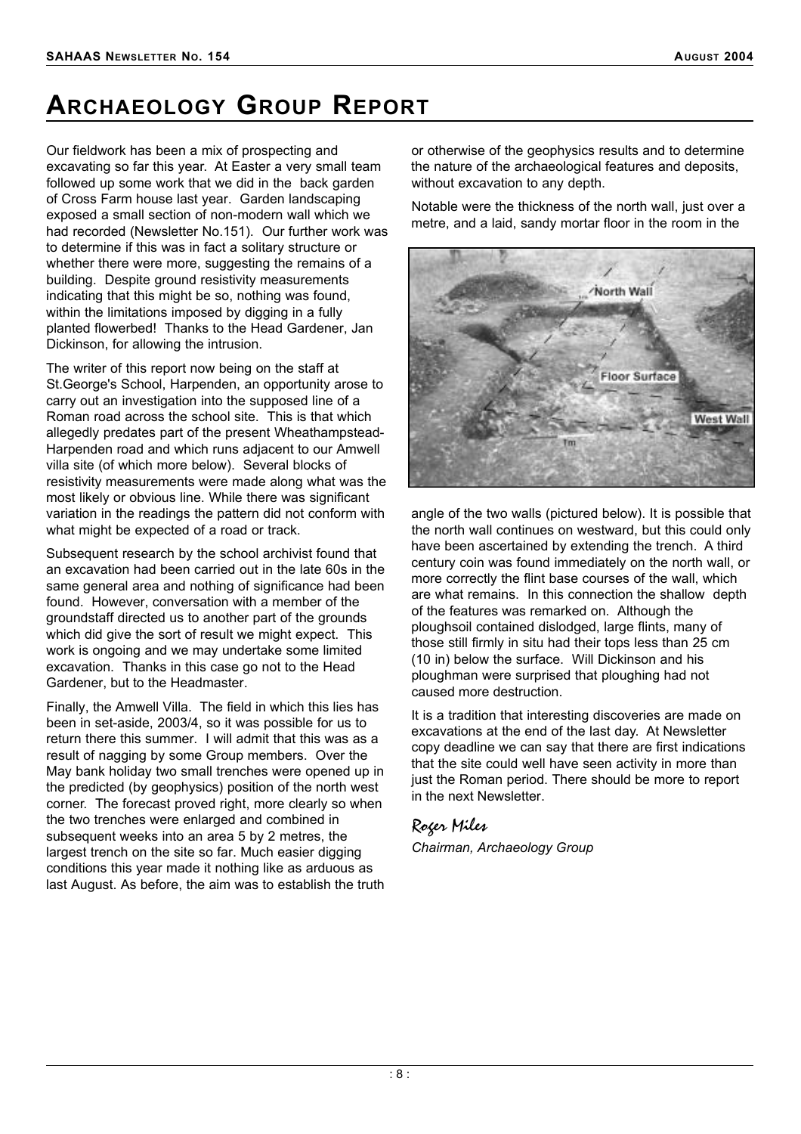### **ARCHAEOLOGY GROUP REPORT**

Our fieldwork has been a mix of prospecting and excavating so far this year. At Easter a very small team followed up some work that we did in the back garden of Cross Farm house last year. Garden landscaping exposed a small section of non-modern wall which we had recorded (Newsletter No.151). Our further work was to determine if this was in fact a solitary structure or whether there were more, suggesting the remains of a building. Despite ground resistivity measurements indicating that this might be so, nothing was found, within the limitations imposed by digging in a fully planted flowerbed! Thanks to the Head Gardener, Jan Dickinson, for allowing the intrusion.

The writer of this report now being on the staff at St.George's School, Harpenden, an opportunity arose to carry out an investigation into the supposed line of a Roman road across the school site. This is that which allegedly predates part of the present Wheathampstead-Harpenden road and which runs adjacent to our Amwell villa site (of which more below). Several blocks of resistivity measurements were made along what was the most likely or obvious line. While there was significant variation in the readings the pattern did not conform with what might be expected of a road or track.

Subsequent research by the school archivist found that an excavation had been carried out in the late 60s in the same general area and nothing of significance had been found. However, conversation with a member of the groundstaff directed us to another part of the grounds which did give the sort of result we might expect. This work is ongoing and we may undertake some limited excavation. Thanks in this case go not to the Head Gardener, but to the Headmaster.

Finally, the Amwell Villa. The field in which this lies has been in set-aside, 2003/4, so it was possible for us to return there this summer. I will admit that this was as a result of nagging by some Group members. Over the May bank holiday two small trenches were opened up in the predicted (by geophysics) position of the north west corner. The forecast proved right, more clearly so when the two trenches were enlarged and combined in subsequent weeks into an area 5 by 2 metres, the largest trench on the site so far. Much easier digging conditions this year made it nothing like as arduous as last August. As before, the aim was to establish the truth or otherwise of the geophysics results and to determine the nature of the archaeological features and deposits, without excavation to any depth.

Notable were the thickness of the north wall, just over a metre, and a laid, sandy mortar floor in the room in the



angle of the two walls (pictured below). It is possible that the north wall continues on westward, but this could only have been ascertained by extending the trench. A third century coin was found immediately on the north wall, or more correctly the flint base courses of the wall, which are what remains. In this connection the shallow depth of the features was remarked on. Although the ploughsoil contained dislodged, large flints, many of those still firmly in situ had their tops less than 25 cm (10 in) below the surface. Will Dickinson and his ploughman were surprised that ploughing had not caused more destruction.

It is a tradition that interesting discoveries are made on excavations at the end of the last day. At Newsletter copy deadline we can say that there are first indications that the site could well have seen activity in more than just the Roman period. There should be more to report in the next Newsletter.

#### *Roger Miles*

*Chairman, Archaeology Group*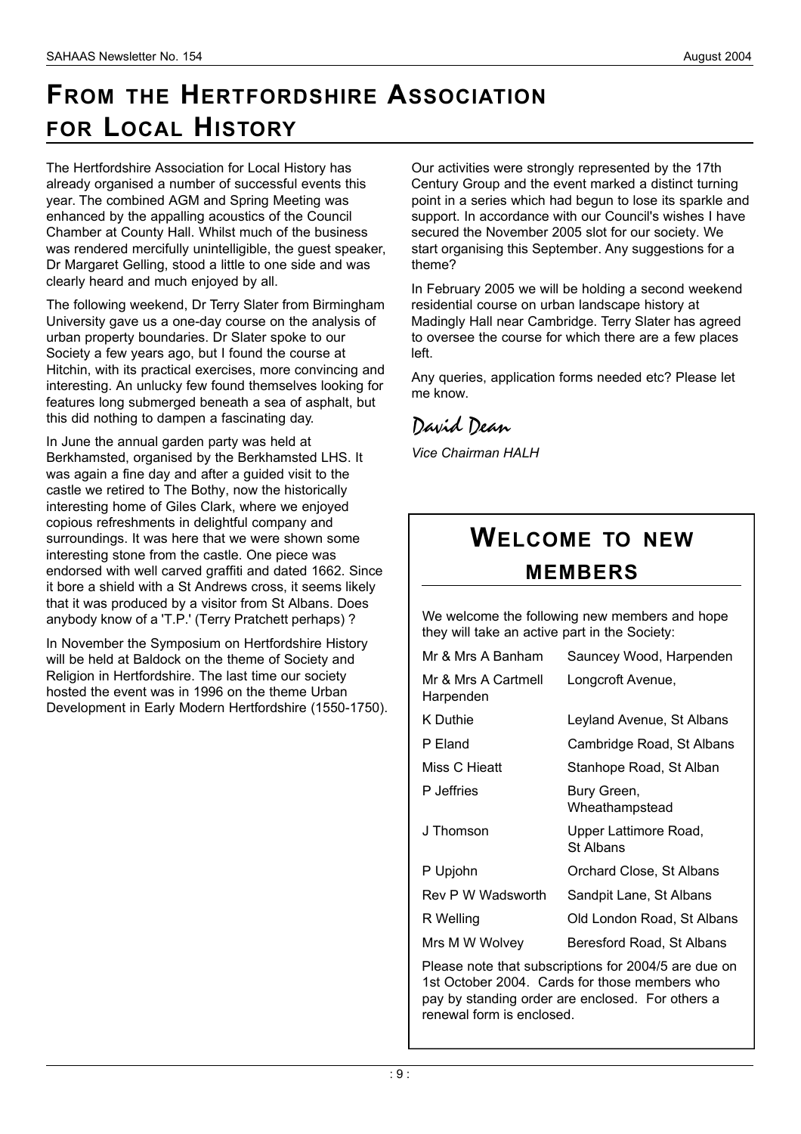## **FROM THE HERTFORDSHIRE ASSOCIATION FOR LOCAL HISTORY**

The Hertfordshire Association for Local History has already organised a number of successful events this year. The combined AGM and Spring Meeting was enhanced by the appalling acoustics of the Council Chamber at County Hall. Whilst much of the business was rendered mercifully unintelligible, the guest speaker, Dr Margaret Gelling, stood a little to one side and was clearly heard and much enjoyed by all.

The following weekend, Dr Terry Slater from Birmingham University gave us a one-day course on the analysis of urban property boundaries. Dr Slater spoke to our Society a few years ago, but I found the course at Hitchin, with its practical exercises, more convincing and interesting. An unlucky few found themselves looking for features long submerged beneath a sea of asphalt, but this did nothing to dampen a fascinating day.

In June the annual garden party was held at Berkhamsted, organised by the Berkhamsted LHS. It was again a fine day and after a guided visit to the castle we retired to The Bothy, now the historically interesting home of Giles Clark, where we enjoyed copious refreshments in delightful company and surroundings. It was here that we were shown some interesting stone from the castle. One piece was endorsed with well carved graffiti and dated 1662. Since it bore a shield with a St Andrews cross, it seems likely that it was produced by a visitor from St Albans. Does anybody know of a 'T.P.' (Terry Pratchett perhaps) ?

In November the Symposium on Hertfordshire History will be held at Baldock on the theme of Society and Religion in Hertfordshire. The last time our society hosted the event was in 1996 on the theme Urban Development in Early Modern Hertfordshire (1550-1750). Our activities were strongly represented by the 17th Century Group and the event marked a distinct turning point in a series which had begun to lose its sparkle and support. In accordance with our Council's wishes I have secured the November 2005 slot for our society. We start organising this September. Any suggestions for a theme?

In February 2005 we will be holding a second weekend residential course on urban landscape history at Madingly Hall near Cambridge. Terry Slater has agreed to oversee the course for which there are a few places left.

Any queries, application forms needed etc? Please let me know.

#### *David Dean*

*Vice Chairman HALH*

### **WELCOME TO NEW M E M B E R S**

We welcome the following new members and hope they will take an active part in the Society:

| Mr & Mrs A Banham                | Sauncey Wood, Harpenden            |
|----------------------------------|------------------------------------|
| Mr & Mrs A Cartmell<br>Harpenden | Longcroft Avenue,                  |
| K Duthie                         | Leyland Avenue, St Albans          |
| P Eland                          | Cambridge Road, St Albans          |
| Miss C Hieatt                    | Stanhope Road, St Alban            |
| P Jeffries                       | Bury Green,<br>Wheathampstead      |
| J Thomson                        | Upper Lattimore Road,<br>St Albans |
| P Upjohn                         | Orchard Close, St Albans           |
| Rev P W Wadsworth                | Sandpit Lane, St Albans            |
| R Welling                        | Old London Road, St Albans         |
| Mrs M W Wolvey                   | Beresford Road, St Albans          |

Please note that subscriptions for 2004/5 are due on 1st October 2004. Cards for those members who pay by standing order are enclosed. For others a renewal form is enclosed.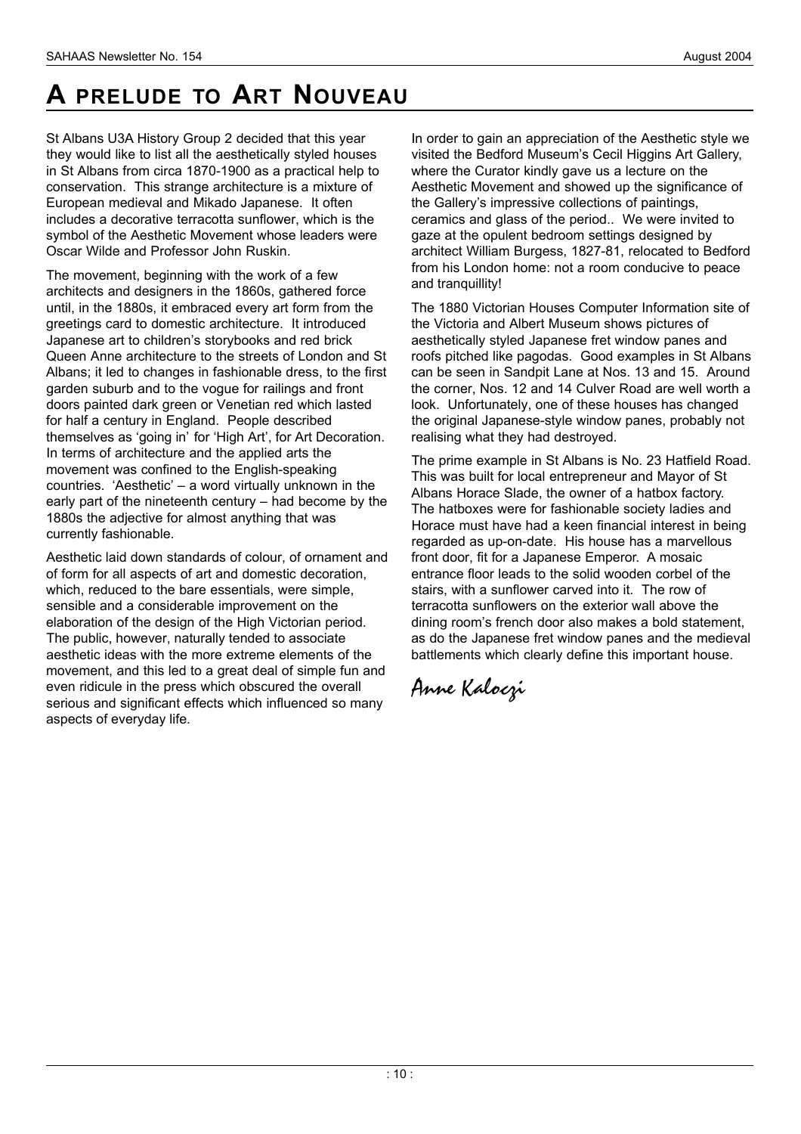# **A** PRELUDE TO ART NOUVEAU

St Albans U3A History Group 2 decided that this year they would like to list all the aesthetically styled houses in St Albans from circa 1870-1900 as a practical help to conservation. This strange architecture is a mixture of European medieval and Mikado Japanese. It often includes a decorative terracotta sunflower, which is the symbol of the Aesthetic Movement whose leaders were Oscar Wilde and Professor John Ruskin.

The movement, beginning with the work of a few architects and designers in the 1860s, gathered force until, in the 1880s, it embraced every art form from the greetings card to domestic architecture. It introduced Japanese art to children's storybooks and red brick Queen Anne architecture to the streets of London and St Albans; it led to changes in fashionable dress, to the first garden suburb and to the vogue for railings and front doors painted dark green or Venetian red which lasted for half a century in England. People described themselves as 'going in' for 'High Art', for Art Decoration. In terms of architecture and the applied arts the movement was confined to the English-speaking countries. 'Aesthetic' – a word virtually unknown in the early part of the nineteenth century – had become by the 1880s the adjective for almost anything that was currently fashionable.

Aesthetic laid down standards of colour, of ornament and of form for all aspects of art and domestic decoration, which, reduced to the bare essentials, were simple, sensible and a considerable improvement on the elaboration of the design of the High Victorian period. The public, however, naturally tended to associate aesthetic ideas with the more extreme elements of the movement, and this led to a great deal of simple fun and even ridicule in the press which obscured the overall serious and significant effects which influenced so many aspects of everyday life.

In order to gain an appreciation of the Aesthetic style we visited the Bedford Museum's Cecil Higgins Art Gallery, where the Curator kindly gave us a lecture on the Aesthetic Movement and showed up the significance of the Gallery's impressive collections of paintings, ceramics and glass of the period.. We were invited to gaze at the opulent bedroom settings designed by architect William Burgess, 1827-81, relocated to Bedford from his London home: not a room conducive to peace and tranquillity!

The 1880 Victorian Houses Computer Information site of the Victoria and Albert Museum shows pictures of aesthetically styled Japanese fret window panes and roofs pitched like pagodas. Good examples in St Albans can be seen in Sandpit Lane at Nos. 13 and 15. Around the corner, Nos. 12 and 14 Culver Road are well worth a look. Unfortunately, one of these houses has changed the original Japanese-style window panes, probably not realising what they had destroyed.

The prime example in St Albans is No. 23 Hatfield Road. This was built for local entrepreneur and Mayor of St Albans Horace Slade, the owner of a hatbox factory. The hatboxes were for fashionable society ladies and Horace must have had a keen financial interest in being regarded as up-on-date. His house has a marvellous front door, fit for a Japanese Emperor. A mosaic entrance floor leads to the solid wooden corbel of the stairs, with a sunflower carved into it. The row of terracotta sunflowers on the exterior wall above the dining room's french door also makes a bold statement, as do the Japanese fret window panes and the medieval battlements which clearly define this important house.

*Anne Kaloczi*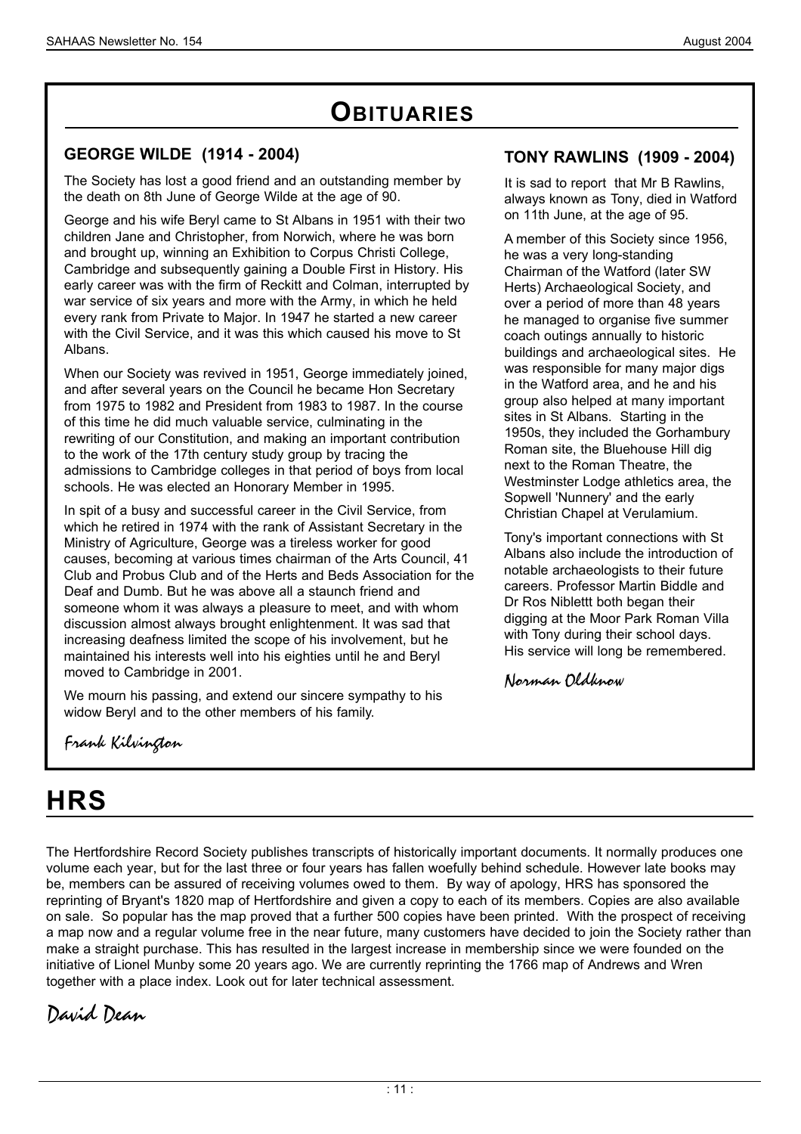### **OBITUARIES**

#### **GEORGE WILDE (1914 - 2004)**

The Society has lost a good friend and an outstanding member by the death on 8th June of George Wilde at the age of 90.

George and his wife Beryl came to St Albans in 1951 with their two children Jane and Christopher, from Norwich, where he was born and brought up, winning an Exhibition to Corpus Christi College, Cambridge and subsequently gaining a Double First in History. His early career was with the firm of Reckitt and Colman, interrupted by war service of six years and more with the Army, in which he held every rank from Private to Major. In 1947 he started a new career with the Civil Service, and it was this which caused his move to St Albans.

When our Society was revived in 1951, George immediately joined, and after several years on the Council he became Hon Secretary from 1975 to 1982 and President from 1983 to 1987. In the course of this time he did much valuable service, culminating in the rewriting of our Constitution, and making an important contribution to the work of the 17th century study group by tracing the admissions to Cambridge colleges in that period of boys from local schools. He was elected an Honorary Member in 1995.

In spit of a busy and successful career in the Civil Service, from which he retired in 1974 with the rank of Assistant Secretary in the Ministry of Agriculture, George was a tireless worker for good causes, becoming at various times chairman of the Arts Council, 41 Club and Probus Club and of the Herts and Beds Association for the Deaf and Dumb. But he was above all a staunch friend and someone whom it was always a pleasure to meet, and with whom discussion almost always brought enlightenment. It was sad that increasing deafness limited the scope of his involvement, but he maintained his interests well into his eighties until he and Beryl moved to Cambridge in 2001.

We mourn his passing, and extend our sincere sympathy to his widow Beryl and to the other members of his family.

**TONY RAWLINS (1909 - 2004)**

It is sad to report that Mr B Rawlins, always known as Tony, died in Watford on 11th June, at the age of 95.

A member of this Society since 1956, he was a very long-standing Chairman of the Watford (later SW Herts) Archaeological Society, and over a period of more than 48 years he managed to organise five summer coach outings annually to historic buildings and archaeological sites. He was responsible for many major digs in the Watford area, and he and his group also helped at many important sites in St Albans. Starting in the 1950s, they included the Gorhambury Roman site, the Bluehouse Hill dig next to the Roman Theatre, the Westminster Lodge athletics area, the Sopwell 'Nunnery' and the early Christian Chapel at Verulamium.

Tony's important connections with St Albans also include the introduction of notable archaeologists to their future careers. Professor Martin Biddle and Dr Ros Niblettt both began their digging at the Moor Park Roman Villa with Tony during their school days. His service will long be remembered.

*Norman Oldknow*

*Frank Kilvington* 

## **H R S**

The Hertfordshire Record Society publishes transcripts of historically important documents. It normally produces one volume each year, but for the last three or four years has fallen woefully behind schedule. However late books may be, members can be assured of receiving volumes owed to them. By way of apology, HRS has sponsored the reprinting of Bryant's 1820 map of Hertfordshire and given a copy to each of its members. Copies are also available on sale. So popular has the map proved that a further 500 copies have been printed. With the prospect of receiving a map now and a regular volume free in the near future, many customers have decided to join the Society rather than make a straight purchase. This has resulted in the largest increase in membership since we were founded on the initiative of Lionel Munby some 20 years ago. We are currently reprinting the 1766 map of Andrews and Wren together with a place index. Look out for later technical assessment.

*David Dean*